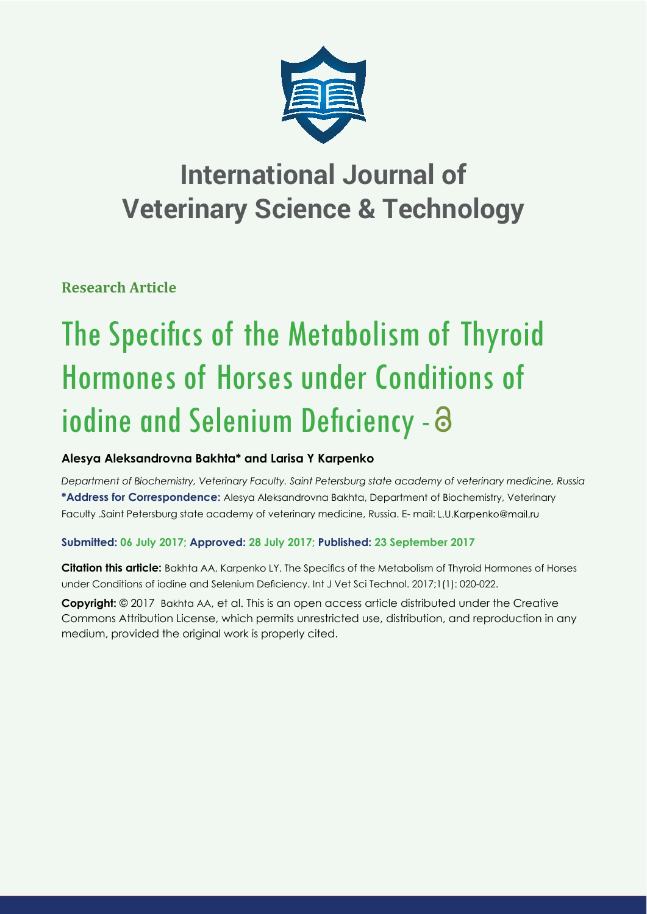

## **International Journal of Veterinary Science & Technology**

**Research Article**

# The Specifics of the Metabolism of Thyroid Hormones of Horses under Conditions of iodine and Selenium Deficiency - a

### **Alesya Aleksandrovna Bakhta\* and Larisa Y Karpenko**

*Department of Biochemistry, Veterinary Faculty. Saint Petersburg state academy of veterinary medicine, Russia* **\*Address for Correspondence:** Alesya Aleksandrovna Bakhta, Department of Biochemistry, Veterinary Faculty .Saint Petersburg state academy of veterinary medicine, Russia. E- mail: L.U.Karpenko@mail.ru

#### **Submitted: 06 July 2017; Approved: 28 July 2017; Published: 23 September 2017**

**Citation this article:** Bakhta AA, Karpenko LY. The Specifics of the Metabolism of Thyroid Hormones of Horses under Conditions of iodine and Selenium Deficiency. Int J Vet Sci Technol. 2017;1(1): 020-022.

**Copyright:** © 2017 Bakhta AA, et al. This is an open access article distributed under the Creative Commons Attribution License, which permits unrestricted use, distribution, and reproduction in any medium, provided the original work is properly cited.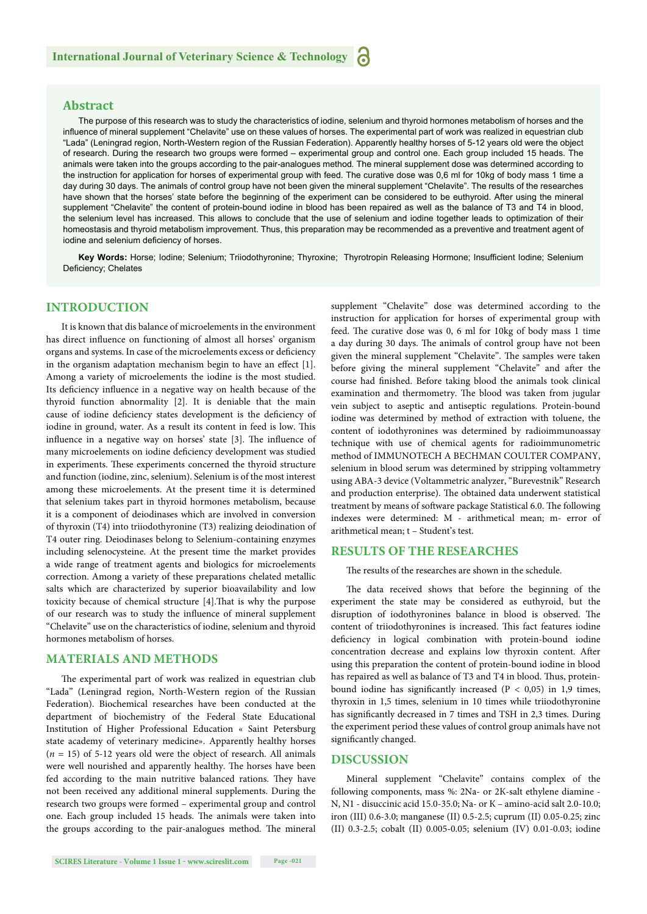#### **Abstract**

The purpose of this research was to study the characteristics of iodine, selenium and thyroid hormones metabolism of horses and the influence of mineral supplement "Chelavite" use on these values of horses. The experimental part of work was realized in equestrian club "Lada" (Leningrad region, North-Western region of the Russian Federation). Apparently healthy horses of 5-12 years old were the object of research. During the research two groups were formed – experimental group and control one. Each group included 15 heads. The animals were taken into the groups according to the pair*-*analogues method*.* The mineral supplement dose was determined according to the instruction for application for horses of experimental group with feed. The curative dose was 0,6 ml for 10kg of body mass 1 time a day during 30 days. The animals of control group have not been given the mineral supplement "Chelavite". The results of the researches have shown that the horses' state before the beginning of the experiment can be considered to be euthyroid. After using the mineral supplement "Chelavite" the content of protein-bound iodine in blood has been repaired as well as the balance of T3 and T4 in blood, the selenium level has increased. This allows to conclude that the use of selenium and iodine together leads to optimization of their homeostasis and thyroid metabolism improvement. Thus, this preparation may be recommended as a preventive and treatment agent of iodine and selenium deficiency of horses.

Key Words: Horse; Iodine; Selenium; Triiodothyronine; Thyroxine; Thyrotropin Releasing Hormone; Insufficient Iodine; Selenium Deficiency; Chelates

#### **INTRODUCTION**

It is known that dis balance of microelements in the environment has direct influence on functioning of almost all horses' organism organs and systems. In case of the microelements excess or deficiency in the organism adaptation mechanism begin to have an effect [1]. Among a variety of microelements the iodine is the most studied. Its deficiency influence in a negative way on health because of the thyroid function abnormality [2]. It is deniable that the main cause of iodine deficiency states development is the deficiency of iodine in ground, water. As a result its content in feed is low. This influence in a negative way on horses' state [3]. The influence of many microelements on iodine deficiency development was studied in experiments. These experiments concerned the thyroid structure and function (iodine, zinc, selenium). Selenium is of the most interest among these microelements. At the present time it is determined that selenium takes part in thyroid hormones metabolism, because it is a component of deiodinases which are involved in conversion of thyroxin (T4) into triiodothyronine (T3) realizing deiodination of T4 outer ring. Deiodinases belong to Selenium-containing enzymes including selenocysteine. At the present time the market provides a wide range of treatment agents and biologics for microelements correction. Among a variety of these preparations chelated metallic salts which are characterized by superior bioavailability and low toxicity because of chemical structure [4]. That is why the purpose of our research was to study the influence of mineral supplement "Chelavite" use on the characteristics of iodine, selenium and thyroid hormones metabolism of horses.

#### **MATERIALS AND METHODS**

The experimental part of work was realized in equestrian club "Lada" (Leningrad region, North-Western region of the Russian Federation). Biochemical researches have been conducted at the department of biochemistry of the Federal State Educational Institution of Higher Professional Education « Saint Petersburg state academy of veterinary medicine». Apparently healthy horses (*n* = 15) of 5-12 years old were the object of research. All animals were well nourished and apparently healthy. The horses have been fed according to the main nutritive balanced rations. They have not been received any additional mineral supplements. During the research two groups were formed – experimental group and control one. Each group included 15 heads. The animals were taken into the groups according to the pair-analogues method. The mineral

supplement "Chelavite" dose was determined according to the instruction for application for horses of experimental group with feed. The curative dose was 0, 6 ml for 10kg of body mass 1 time a day during 30 days. The animals of control group have not been given the mineral supplement "Chelavite". The samples were taken before giving the mineral supplement "Chelavite" and after the course had finished. Before taking blood the animals took clinical examination and thermometry. The blood was taken from jugular vein subject to aseptic and antiseptic regulations. Protein-bound iodine was determined by method of extraction with toluene, the content of iodothyronines was determined by radioimmunoassay technique with use of chemical agents for radioimmunometric method of IMMUNOTECH A BECHMAN COULTER COMPANY, selenium in blood serum was determined by stripping voltammetry using АВА-3 device (Voltammetric analyzer, "Burevestnik" Research and production enterprise). The obtained data underwent statistical treatment by means of software package Statistical 6.0. The following indexes were determined: M - arithmetical mean; m- error of arithmetical mean; t – Student's test.

#### **RESULTS OF THE RESEARCHES**

The results of the researches are shown in the schedule.

The data received shows that before the beginning of the experiment the state may be considered as euthyroid, but the disruption of iodothyronines balance in blood is observed. The content of triiodothyronines is increased. This fact features iodine deficiency in logical combination with protein-bound iodine concentration decrease and explains low thyroxin content. After using this preparation the content of protein-bound iodine in blood has repaired as well as balance of T3 and T4 in blood. Thus, proteinbound iodine has significantly increased ( $P < 0.05$ ) in 1,9 times, thyroxin in 1,5 times, selenium in 10 times while triiodothyronine has significantly decreased in 7 times and TSH in 2,3 times. During the experiment period these values of control group animals have not significantly changed.

#### **DISCUSSION**

Mineral supplement "Chelavite" contains complex of the following components, mass %: 2Na- or 2К-salt ethylene diamine - N, N1 - disuccinic acid 15.0-35.0; Na- or К – amino-acid salt 2.0-10.0; iron (III) 0.6-3.0; manganese (II) 0.5-2.5; cuprum (II) 0.05-0.25; zinc (II) 0.3-2.5; cobalt (II) 0.005-0.05; selenium (IV) 0.01-0.03; iodine